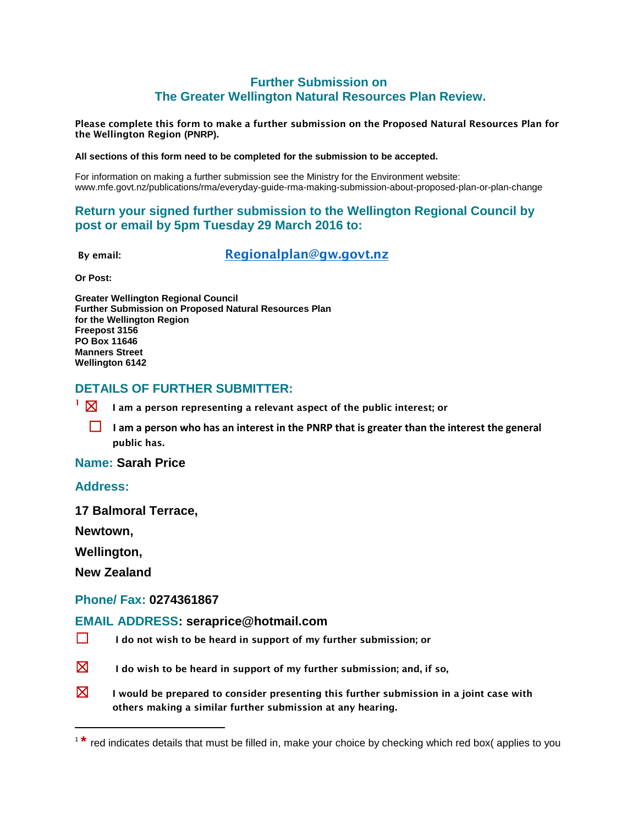## **Further Submission on The Greater Wellington Natural Resources Plan Review.**

**Please complete this form to make a further submission on the Proposed Natural Resources Plan for the Wellington Region (PNRP).**

#### **All sections of this form need to be completed for the submission to be accepted.**

For information on making a further submission see the Ministry for the Environment website: www.mfe.govt.nz/publications/rma/everyday-guide-rma-making-submission-about-proposed-plan-or-plan-change

## **Return your signed further submission to the Wellington Regional Council by post or email by 5pm Tuesday 29 March 2016 to:**

**By email: [Regionalplan@gw.govt.nz](mailto:Regionalplan@gw.govt.nz)**

**Or Post:**

**Greater Wellington Regional Council Further Submission on Proposed Natural Resources Plan for the Wellington Region Freepost 3156 PO Box 11646 Manners Street Wellington 6142**

## **DETAILS OF FURTHER SUBMITTER:**

**<sup>1</sup>** ☒ **I am a person representing a relevant aspect of the public interest; or**

**□ I** am a person who has an interest in the PNRP that is greater than the interest the general **public has.** 

**Name: Sarah Price**

#### **Address:**

**17 Balmoral Terrace,**

**Newtown,**

 $\overline{\phantom{a}}$ 

**Wellington,**

**New Zealand**

#### **Phone/ Fax: 0274361867**

#### **EMAIL ADDRESS: seraprice@hotmail.com**

- ☐ **I do not wish to be heard in support of my further submission; or**
- $\boxtimes$  I do wish to be heard in support of my further submission; and, if so,
- $\boxtimes$  I would be prepared to consider presenting this further submission in a joint case with **others making a similar further submission at any hearing.**

<sup>&</sup>lt;sup>1 \*</sup> red indicates details that must be filled in, make your choice by checking which red box( applies to you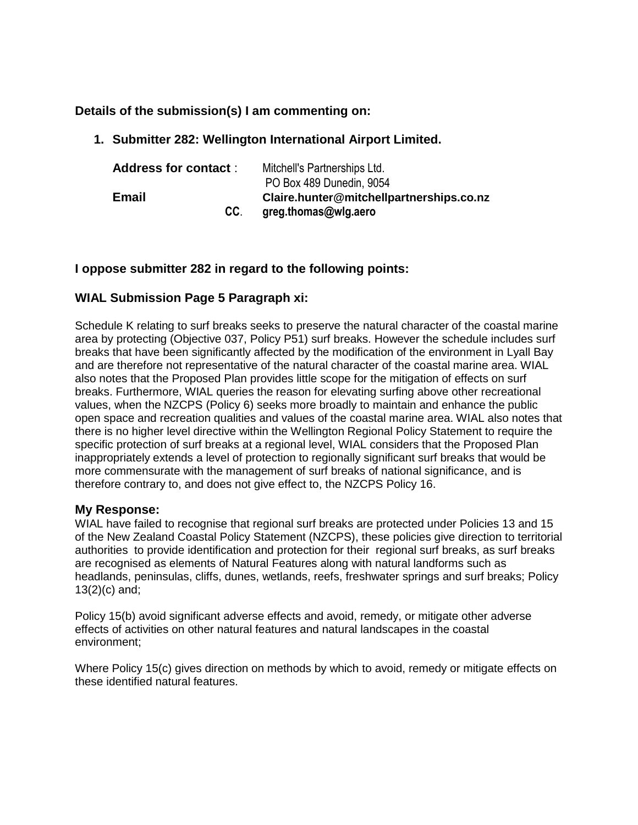# **Details of the submission(s) I am commenting on:**

# **1. Submitter 282: Wellington International Airport Limited.**

| <b>Address for contact:</b> | Mitchell's Partnerships Ltd.<br>PO Box 489 Dunedin, 9054 |
|-----------------------------|----------------------------------------------------------|
| Email                       | Claire.hunter@mitchellpartnerships.co.nz                 |
| CC.                         | greg.thomas@wlg.aero                                     |

## **I oppose submitter 282 in regard to the following points:**

## **WIAL Submission Page 5 Paragraph xi:**

Schedule K relating to surf breaks seeks to preserve the natural character of the coastal marine area by protecting (Objective 037, Policy P51) surf breaks. However the schedule includes surf breaks that have been significantly affected by the modification of the environment in Lyall Bay and are therefore not representative of the natural character of the coastal marine area. WIAL also notes that the Proposed Plan provides little scope for the mitigation of effects on surf breaks. Furthermore, WIAL queries the reason for elevating surfing above other recreational values, when the NZCPS (Policy 6) seeks more broadly to maintain and enhance the public open space and recreation qualities and values of the coastal marine area. WIAL also notes that there is no higher level directive within the Wellington Regional Policy Statement to require the specific protection of surf breaks at a regional level, WIAL considers that the Proposed Plan inappropriately extends a level of protection to regionally significant surf breaks that would be more commensurate with the management of surf breaks of national significance, and is therefore contrary to, and does not give effect to, the NZCPS Policy 16.

### **My Response:**

WIAL have failed to recognise that regional surf breaks are protected under Policies 13 and 15 of the New Zealand Coastal Policy Statement (NZCPS), these policies give direction to territorial authorities to provide identification and protection for their regional surf breaks, as surf breaks are recognised as elements of Natural Features along with natural landforms such as headlands, peninsulas, cliffs, dunes, wetlands, reefs, freshwater springs and surf breaks; Policy 13(2)(c) and;

Policy 15(b) avoid significant adverse effects and avoid, remedy, or mitigate other adverse effects of activities on other natural features and natural landscapes in the coastal environment;

Where Policy 15(c) gives direction on methods by which to avoid, remedy or mitigate effects on these identified natural features.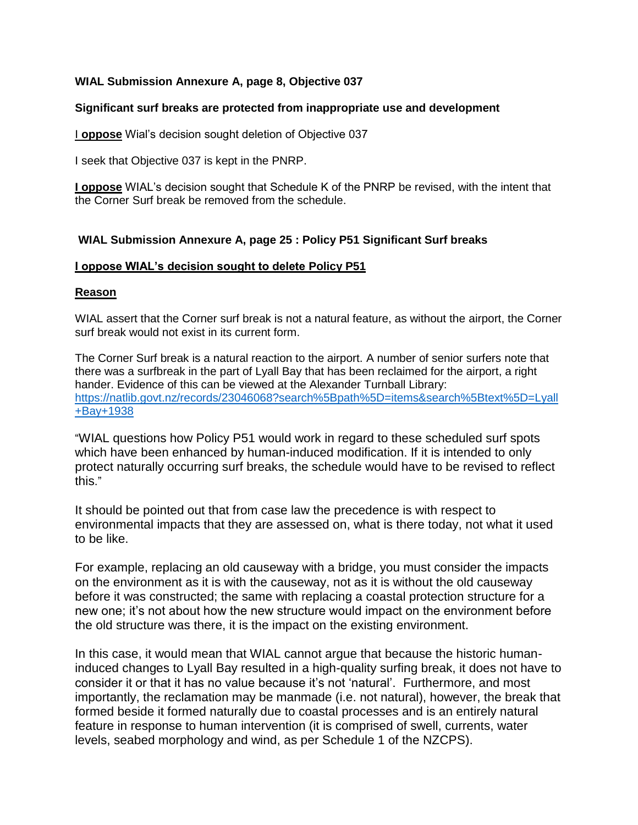## **WIAL Submission Annexure A, page 8, Objective 037**

### **Significant surf breaks are protected from inappropriate use and development**

I **oppose** Wial's decision sought deletion of Objective 037

I seek that Objective 037 is kept in the PNRP.

**I oppose** WIAL's decision sought that Schedule K of the PNRP be revised, with the intent that the Corner Surf break be removed from the schedule.

### **WIAL Submission Annexure A, page 25 : Policy P51 Significant Surf breaks**

#### **I oppose WIAL's decision sought to delete Policy P51**

#### **Reason**

WIAL assert that the Corner surf break is not a natural feature, as without the airport, the Corner surf break would not exist in its current form.

The Corner Surf break is a natural reaction to the airport. A number of senior surfers note that there was a surfbreak in the part of Lyall Bay that has been reclaimed for the airport, a right hander. Evidence of this can be viewed at the Alexander Turnball Library: [https://natlib.govt.nz/records/23046068?search%5Bpath%5D=items&search%5Btext%5D=Lyall](https://natlib.govt.nz/records/23046068?search%5Bpath%5D=items&search%5Btext%5D=Lyall+Bay+1938) [+Bay+1938](https://natlib.govt.nz/records/23046068?search%5Bpath%5D=items&search%5Btext%5D=Lyall+Bay+1938)

"WIAL questions how Policy P51 would work in regard to these scheduled surf spots which have been enhanced by human-induced modification. If it is intended to only protect naturally occurring surf breaks, the schedule would have to be revised to reflect this."

It should be pointed out that from case law the precedence is with respect to environmental impacts that they are assessed on, what is there today, not what it used to be like.

For example, replacing an old causeway with a bridge, you must consider the impacts on the environment as it is with the causeway, not as it is without the old causeway before it was constructed; the same with replacing a coastal protection structure for a new one; it's not about how the new structure would impact on the environment before the old structure was there, it is the impact on the existing environment.

In this case, it would mean that WIAL cannot argue that because the historic humaninduced changes to Lyall Bay resulted in a high-quality surfing break, it does not have to consider it or that it has no value because it's not 'natural'. Furthermore, and most importantly, the reclamation may be manmade (i.e. not natural), however, the break that formed beside it formed naturally due to coastal processes and is an entirely natural feature in response to human intervention (it is comprised of swell, currents, water levels, seabed morphology and wind, as per Schedule 1 of the NZCPS).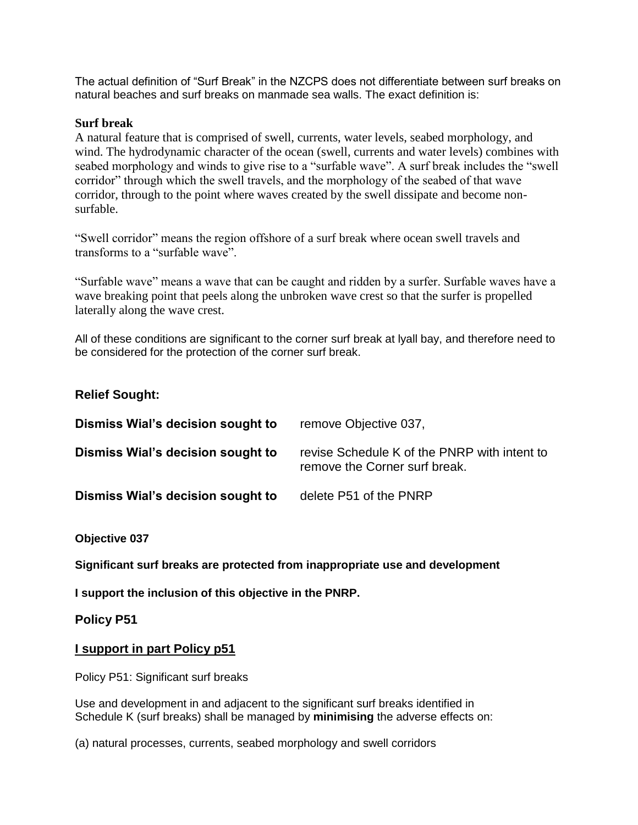The actual definition of "Surf Break" in the NZCPS does not differentiate between surf breaks on natural beaches and surf breaks on manmade sea walls. The exact definition is:

### **Surf break**

A natural feature that is comprised of swell, currents, water levels, seabed morphology, and wind. The hydrodynamic character of the ocean (swell, currents and water levels) combines with seabed morphology and winds to give rise to a "surfable wave". A surf break includes the "swell corridor" through which the swell travels, and the morphology of the seabed of that wave corridor, through to the point where waves created by the swell dissipate and become nonsurfable.

"Swell corridor" means the region offshore of a surf break where ocean swell travels and transforms to a "surfable wave".

"Surfable wave" means a wave that can be caught and ridden by a surfer. Surfable waves have a wave breaking point that peels along the unbroken wave crest so that the surfer is propelled laterally along the wave crest.

All of these conditions are significant to the corner surf break at lyall bay, and therefore need to be considered for the protection of the corner surf break.

### **Relief Sought:**

| Dismiss Wial's decision sought to | remove Objective 037,                                                         |
|-----------------------------------|-------------------------------------------------------------------------------|
| Dismiss Wial's decision sought to | revise Schedule K of the PNRP with intent to<br>remove the Corner surf break. |
| Dismiss Wial's decision sought to | delete P51 of the PNRP                                                        |

**Objective 037** 

**Significant surf breaks are protected from inappropriate use and development**

**I support the inclusion of this objective in the PNRP.**

**Policy P51**

### **I support in part Policy p51**

Policy P51: Significant surf breaks

Use and development in and adjacent to the significant surf breaks identified in Schedule K (surf breaks) shall be managed by **minimising** the adverse effects on:

(a) natural processes, currents, seabed morphology and swell corridors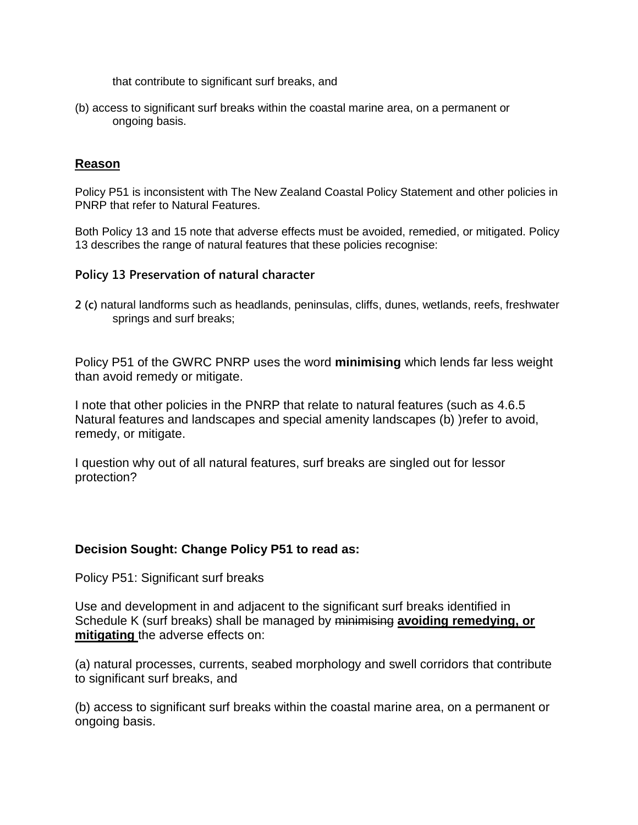that contribute to significant surf breaks, and

(b) access to significant surf breaks within the coastal marine area, on a permanent or ongoing basis.

## **Reason**

Policy P51 is inconsistent with The New Zealand Coastal Policy Statement and other policies in PNRP that refer to Natural Features.

Both Policy 13 and 15 note that adverse effects must be avoided, remedied, or mitigated. Policy 13 describes the range of natural features that these policies recognise:

## **Policy 13 Preservation of natural character**

**2 (c)** natural landforms such as headlands, peninsulas, cliffs, dunes, wetlands, reefs, freshwater springs and surf breaks;

Policy P51 of the GWRC PNRP uses the word **minimising** which lends far less weight than avoid remedy or mitigate.

I note that other policies in the PNRP that relate to natural features (such as 4.6.5 Natural features and landscapes and special amenity landscapes (b) )refer to avoid, remedy, or mitigate.

I question why out of all natural features, surf breaks are singled out for lessor protection?

## **Decision Sought: Change Policy P51 to read as:**

Policy P51: Significant surf breaks

Use and development in and adjacent to the significant surf breaks identified in Schedule K (surf breaks) shall be managed by minimising **avoiding remedying, or mitigating** the adverse effects on:

(a) natural processes, currents, seabed morphology and swell corridors that contribute to significant surf breaks, and

(b) access to significant surf breaks within the coastal marine area, on a permanent or ongoing basis.